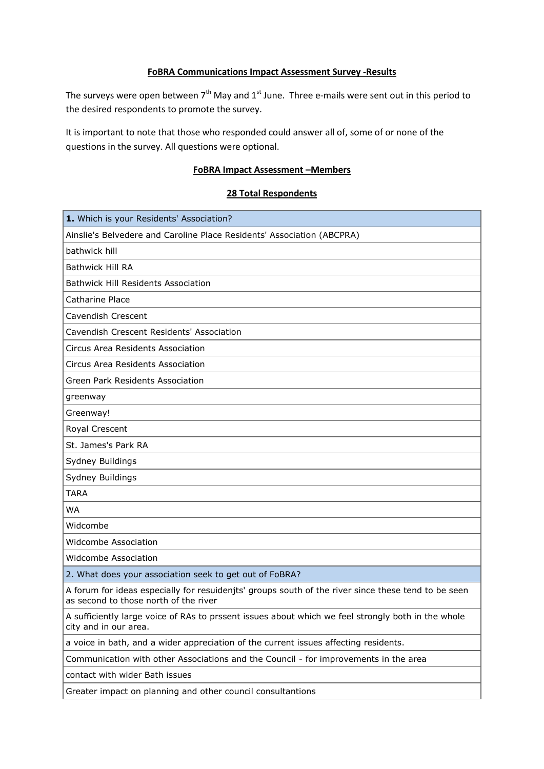## **FoBRA Communications Impact Assessment Survey -Results**

The surveys were open between  $7<sup>th</sup>$  May and  $1<sup>st</sup>$  June. Three e-mails were sent out in this period to the desired respondents to promote the survey.

It is important to note that those who responded could answer all of, some of or none of the questions in the survey. All questions were optional.

## **FoBRA Impact Assessment –Members**

#### **28 Total Respondents**

| 1. Which is your Residents' Association?                                                                                                     |
|----------------------------------------------------------------------------------------------------------------------------------------------|
| Ainslie's Belvedere and Caroline Place Residents' Association (ABCPRA)                                                                       |
| bathwick hill                                                                                                                                |
| <b>Bathwick Hill RA</b>                                                                                                                      |
| <b>Bathwick Hill Residents Association</b>                                                                                                   |
| Catharine Place                                                                                                                              |
| Cavendish Crescent                                                                                                                           |
| Cavendish Crescent Residents' Association                                                                                                    |
| Circus Area Residents Association                                                                                                            |
| Circus Area Residents Association                                                                                                            |
| Green Park Residents Association                                                                                                             |
| greenway                                                                                                                                     |
| Greenway!                                                                                                                                    |
| Royal Crescent                                                                                                                               |
| St. James's Park RA                                                                                                                          |
| Sydney Buildings                                                                                                                             |
| Sydney Buildings                                                                                                                             |
| <b>TARA</b>                                                                                                                                  |
| <b>WA</b>                                                                                                                                    |
| Widcombe                                                                                                                                     |
| Widcombe Association                                                                                                                         |
| Widcombe Association                                                                                                                         |
| 2. What does your association seek to get out of FoBRA?                                                                                      |
| A forum for ideas especially for resuidenjts' groups south of the river since these tend to be seen<br>as second to those north of the river |
| A sufficiently large voice of RAs to prssent issues about which we feel strongly both in the whole<br>city and in our area.                  |
| a voice in bath, and a wider appreciation of the current issues affecting residents.                                                         |
| Communication with other Associations and the Council - for improvements in the area                                                         |
| contact with wider Bath issues                                                                                                               |
| Greater impact on planning and other council consultantions                                                                                  |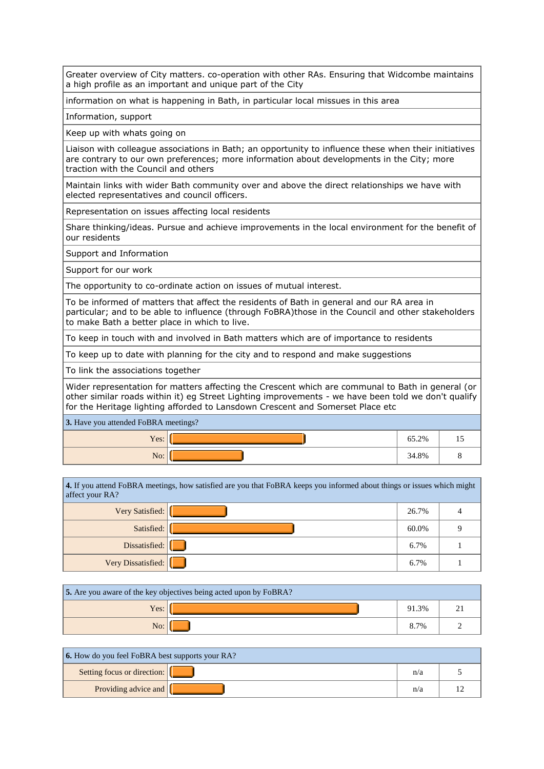Greater overview of City matters. co-operation with other RAs. Ensuring that Widcombe maintains a high profile as an important and unique part of the City

information on what is happening in Bath, in particular local missues in this area

Information, support

Keep up with whats going on

Liaison with colleague associations in Bath; an opportunity to influence these when their initiatives are contrary to our own preferences; more information about developments in the City; more traction with the Council and others

Maintain links with wider Bath community over and above the direct relationships we have with elected representatives and council officers.

Representation on issues affecting local residents

Share thinking/ideas. Pursue and achieve improvements in the local environment for the benefit of our residents

Support and Information

Support for our work

The opportunity to co-ordinate action on issues of mutual interest.

To be informed of matters that affect the residents of Bath in general and our RA area in particular; and to be able to influence (through FoBRA)those in the Council and other stakeholders to make Bath a better place in which to live.

To keep in touch with and involved in Bath matters which are of importance to residents

To keep up to date with planning for the city and to respond and make suggestions

To link the associations together

Wider representation for matters affecting the Crescent which are communal to Bath in general (or other similar roads within it) eg Street Lighting improvements - we have been told we don't qualify for the Heritage lighting afforded to Lansdown Crescent and Somerset Place etc

**3.** Have you attended FoBRA meetings?

| Yes: $ $ | 65.2% | $\overline{1}$ |
|----------|-------|----------------|
| No:      | 34.8% |                |

**4.** If you attend FoBRA meetings, how satisfied are you that FoBRA keeps you informed about things or issues which might affect your RA? Very Satisfied: 26.7% 4

| Very Satisfied:    | 20.7% |  |
|--------------------|-------|--|
| Satisfied:         | 60.0% |  |
| Dissatisfied:      | 6.7%  |  |
| Very Dissatisfied: | 6.7%  |  |

| <b>5.</b> Are you aware of the key objectives being acted upon by FoBRA? |  |       |  |  |
|--------------------------------------------------------------------------|--|-------|--|--|
| Yes:                                                                     |  | 91.3% |  |  |
|                                                                          |  | 8.7%  |  |  |

| <b>6.</b> How do you feel FoBRA best supports your RA? |  |     |  |
|--------------------------------------------------------|--|-----|--|
| Setting focus or direction:                            |  | n/a |  |
| Providing advice and $\left  \right $                  |  | n/a |  |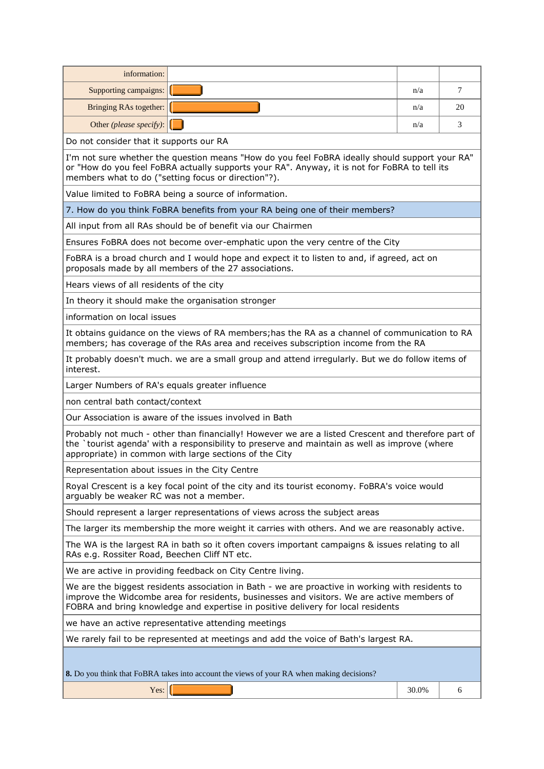| information:                                                                                                                                                                                                                                                                       |                                                                                                                                                                                                     |       |    |
|------------------------------------------------------------------------------------------------------------------------------------------------------------------------------------------------------------------------------------------------------------------------------------|-----------------------------------------------------------------------------------------------------------------------------------------------------------------------------------------------------|-------|----|
| Supporting campaigns:                                                                                                                                                                                                                                                              |                                                                                                                                                                                                     | n/a   | 7  |
| Bringing RAs together:                                                                                                                                                                                                                                                             |                                                                                                                                                                                                     | n/a   | 20 |
| Other (please specify):                                                                                                                                                                                                                                                            |                                                                                                                                                                                                     | n/a   | 3  |
| Do not consider that it supports our RA                                                                                                                                                                                                                                            |                                                                                                                                                                                                     |       |    |
| members what to do ("setting focus or direction"?).                                                                                                                                                                                                                                | I'm not sure whether the question means "How do you feel FoBRA ideally should support your RA"<br>or "How do you feel FoBRA actually supports your RA". Anyway, it is not for FoBRA to tell its     |       |    |
| Value limited to FoBRA being a source of information.                                                                                                                                                                                                                              |                                                                                                                                                                                                     |       |    |
|                                                                                                                                                                                                                                                                                    | 7. How do you think FoBRA benefits from your RA being one of their members?                                                                                                                         |       |    |
| All input from all RAs should be of benefit via our Chairmen                                                                                                                                                                                                                       |                                                                                                                                                                                                     |       |    |
|                                                                                                                                                                                                                                                                                    | Ensures FoBRA does not become over-emphatic upon the very centre of the City                                                                                                                        |       |    |
| proposals made by all members of the 27 associations.                                                                                                                                                                                                                              | FoBRA is a broad church and I would hope and expect it to listen to and, if agreed, act on                                                                                                          |       |    |
| Hears views of all residents of the city                                                                                                                                                                                                                                           |                                                                                                                                                                                                     |       |    |
| In theory it should make the organisation stronger                                                                                                                                                                                                                                 |                                                                                                                                                                                                     |       |    |
| information on local issues                                                                                                                                                                                                                                                        |                                                                                                                                                                                                     |       |    |
|                                                                                                                                                                                                                                                                                    | It obtains guidance on the views of RA members; has the RA as a channel of communication to RA<br>members; has coverage of the RAs area and receives subscription income from the RA                |       |    |
| interest.                                                                                                                                                                                                                                                                          | It probably doesn't much. we are a small group and attend irregularly. But we do follow items of                                                                                                    |       |    |
| Larger Numbers of RA's equals greater influence                                                                                                                                                                                                                                    |                                                                                                                                                                                                     |       |    |
| non central bath contact/context                                                                                                                                                                                                                                                   |                                                                                                                                                                                                     |       |    |
| Our Association is aware of the issues involved in Bath                                                                                                                                                                                                                            |                                                                                                                                                                                                     |       |    |
| appropriate) in common with large sections of the City                                                                                                                                                                                                                             | Probably not much - other than financially! However we are a listed Crescent and therefore part of<br>the `tourist agenda' with a responsibility to preserve and maintain as well as improve (where |       |    |
| Representation about issues in the City Centre                                                                                                                                                                                                                                     |                                                                                                                                                                                                     |       |    |
| arguably be weaker RC was not a member.                                                                                                                                                                                                                                            | Royal Crescent is a key focal point of the city and its tourist economy. FoBRA's voice would                                                                                                        |       |    |
|                                                                                                                                                                                                                                                                                    | Should represent a larger representations of views across the subject areas                                                                                                                         |       |    |
|                                                                                                                                                                                                                                                                                    | The larger its membership the more weight it carries with others. And we are reasonably active.                                                                                                     |       |    |
| RAs e.g. Rossiter Road, Beechen Cliff NT etc.                                                                                                                                                                                                                                      | The WA is the largest RA in bath so it often covers important campaigns & issues relating to all                                                                                                    |       |    |
| We are active in providing feedback on City Centre living.                                                                                                                                                                                                                         |                                                                                                                                                                                                     |       |    |
| We are the biggest residents association in Bath - we are proactive in working with residents to<br>improve the Widcombe area for residents, businesses and visitors. We are active members of<br>FOBRA and bring knowledge and expertise in positive delivery for local residents |                                                                                                                                                                                                     |       |    |
| we have an active representative attending meetings                                                                                                                                                                                                                                |                                                                                                                                                                                                     |       |    |
| We rarely fail to be represented at meetings and add the voice of Bath's largest RA.                                                                                                                                                                                               |                                                                                                                                                                                                     |       |    |
|                                                                                                                                                                                                                                                                                    | 8. Do you think that FoBRA takes into account the views of your RA when making decisions?                                                                                                           |       |    |
| Yes:                                                                                                                                                                                                                                                                               |                                                                                                                                                                                                     | 30.0% | 6  |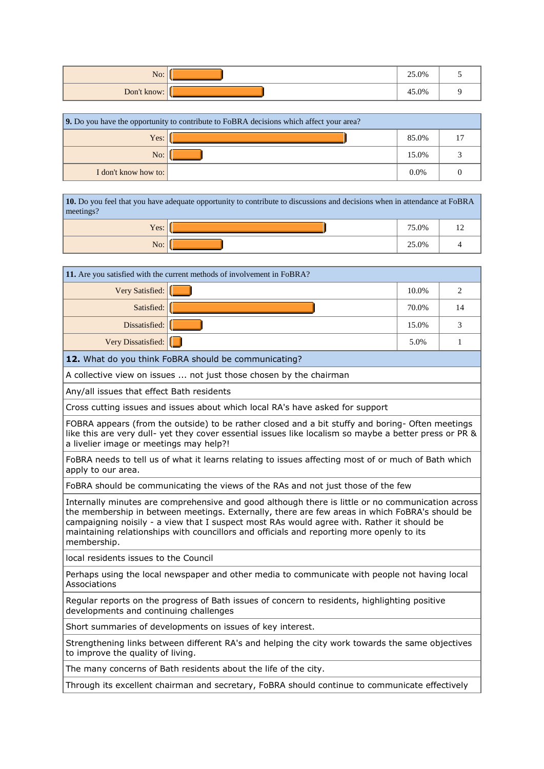| No:         | 25.0% |  |
|-------------|-------|--|
| Don't know: | 45.0% |  |

| 9. Do you have the opportunity to contribute to FoBRA decisions which affect your area? |  |         |  |  |
|-----------------------------------------------------------------------------------------|--|---------|--|--|
| Yes:                                                                                    |  | 85.0%   |  |  |
| No:                                                                                     |  | 15.0%   |  |  |
| I don't know how to:                                                                    |  | $0.0\%$ |  |  |

**10.** Do you feel that you have adequate opportunity to contribute to discussions and decisions when in attendance at FoBRA meetings?

| $V_{\text{AC}}$<br>1 <sub>0</sub> | 75.0% |  |
|-----------------------------------|-------|--|
| N <sub>o</sub>                    | 25.0% |  |

٦

| 11. Are you satisfied with the current methods of involvement in FoBRA?                                                                                                                                                                                                                                                                                                                                       |       |    |  |
|---------------------------------------------------------------------------------------------------------------------------------------------------------------------------------------------------------------------------------------------------------------------------------------------------------------------------------------------------------------------------------------------------------------|-------|----|--|
| Very Satisfied:                                                                                                                                                                                                                                                                                                                                                                                               | 10.0% | 2  |  |
| Satisfied:                                                                                                                                                                                                                                                                                                                                                                                                    | 70.0% | 14 |  |
| Dissatisfied:                                                                                                                                                                                                                                                                                                                                                                                                 | 15.0% | 3  |  |
| Very Dissatisfied:                                                                                                                                                                                                                                                                                                                                                                                            | 5.0%  | 1  |  |
| 12. What do you think FoBRA should be communicating?                                                                                                                                                                                                                                                                                                                                                          |       |    |  |
| A collective view on issues  not just those chosen by the chairman                                                                                                                                                                                                                                                                                                                                            |       |    |  |
| Any/all issues that effect Bath residents                                                                                                                                                                                                                                                                                                                                                                     |       |    |  |
| Cross cutting issues and issues about which local RA's have asked for support                                                                                                                                                                                                                                                                                                                                 |       |    |  |
| FOBRA appears (from the outside) to be rather closed and a bit stuffy and boring- Often meetings<br>like this are very dull- yet they cover essential issues like localism so maybe a better press or PR &<br>a livelier image or meetings may help?!                                                                                                                                                         |       |    |  |
| FoBRA needs to tell us of what it learns relating to issues affecting most of or much of Bath which<br>apply to our area.                                                                                                                                                                                                                                                                                     |       |    |  |
| FoBRA should be communicating the views of the RAs and not just those of the few                                                                                                                                                                                                                                                                                                                              |       |    |  |
| Internally minutes are comprehensive and good although there is little or no communication across<br>the membership in between meetings. Externally, there are few areas in which FoBRA's should be<br>campaigning noisily - a view that I suspect most RAs would agree with. Rather it should be<br>maintaining relationships with councillors and officials and reporting more openly to its<br>membership. |       |    |  |
| local residents issues to the Council                                                                                                                                                                                                                                                                                                                                                                         |       |    |  |
| Perhaps using the local newspaper and other media to communicate with people not having local<br>Associations                                                                                                                                                                                                                                                                                                 |       |    |  |
| Regular reports on the progress of Bath issues of concern to residents, highlighting positive<br>developments and continuing challenges                                                                                                                                                                                                                                                                       |       |    |  |
| Short summaries of developments on issues of key interest.                                                                                                                                                                                                                                                                                                                                                    |       |    |  |
| Strengthening links between different RA's and helping the city work towards the same objectives<br>to improve the quality of living.                                                                                                                                                                                                                                                                         |       |    |  |
| The many concerns of Bath residents about the life of the city.                                                                                                                                                                                                                                                                                                                                               |       |    |  |
| Through its excellent chairman and secretary, FoBRA should continue to communicate effectively                                                                                                                                                                                                                                                                                                                |       |    |  |
|                                                                                                                                                                                                                                                                                                                                                                                                               |       |    |  |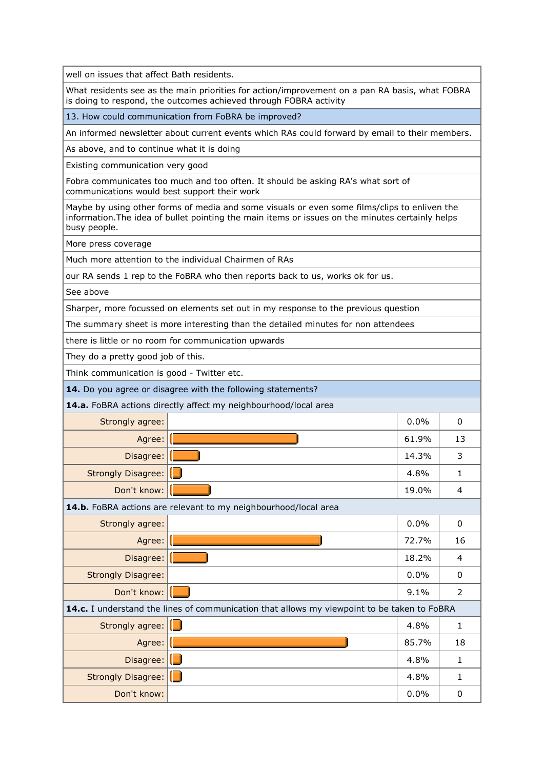well on issues that affect Bath residents.

What residents see as the main priorities for action/improvement on a pan RA basis, what FOBRA is doing to respond, the outcomes achieved through FOBRA activity

13. How could communication from FoBRA be improved?

An informed newsletter about current events which RAs could forward by email to their members.

As above, and to continue what it is doing

Existing communication very good

Fobra communicates too much and too often. It should be asking RA's what sort of communications would best support their work

Maybe by using other forms of media and some visuals or even some films/clips to enliven the information.The idea of bullet pointing the main items or issues on the minutes certainly helps busy people.

More press coverage

Much more attention to the individual Chairmen of RAs

our RA sends 1 rep to the FoBRA who then reports back to us, works ok for us.

See above

Sharper, more focussed on elements set out in my response to the previous question

The summary sheet is more interesting than the detailed minutes for non attendees

there is little or no room for communication upwards

They do a pretty good job of this.

Think communication is good - Twitter etc.

**14.** Do you agree or disagree with the following statements?

**14.a.** FoBRA actions directly affect my neighbourhood/local area

| Strongly agree:           |                                                                                             | 0.0%  | 0              |
|---------------------------|---------------------------------------------------------------------------------------------|-------|----------------|
| Agree:                    |                                                                                             | 61.9% | 13             |
| Disagree:                 |                                                                                             | 14.3% | 3              |
| Strongly Disagree:        | L                                                                                           | 4.8%  | 1              |
| Don't know:               |                                                                                             | 19.0% | 4              |
|                           | 14.b. FoBRA actions are relevant to my neighbourhood/local area                             |       |                |
| Strongly agree:           |                                                                                             | 0.0%  | 0              |
| Agree:                    |                                                                                             | 72.7% | 16             |
| Disagree:                 |                                                                                             | 18.2% | 4              |
| <b>Strongly Disagree:</b> |                                                                                             | 0.0%  | 0              |
| Don't know:               |                                                                                             | 9.1%  | $\overline{2}$ |
|                           | 14.c. I understand the lines of communication that allows my viewpoint to be taken to FoBRA |       |                |
| Strongly agree:           | U                                                                                           | 4.8%  | 1              |
| Agree:                    |                                                                                             | 85.7% | 18             |
| Disagree: $\Box$          |                                                                                             | 4.8%  | 1              |
| Strongly Disagree: [1]    |                                                                                             | 4.8%  | $\mathbf{1}$   |
| Don't know:               |                                                                                             | 0.0%  | 0              |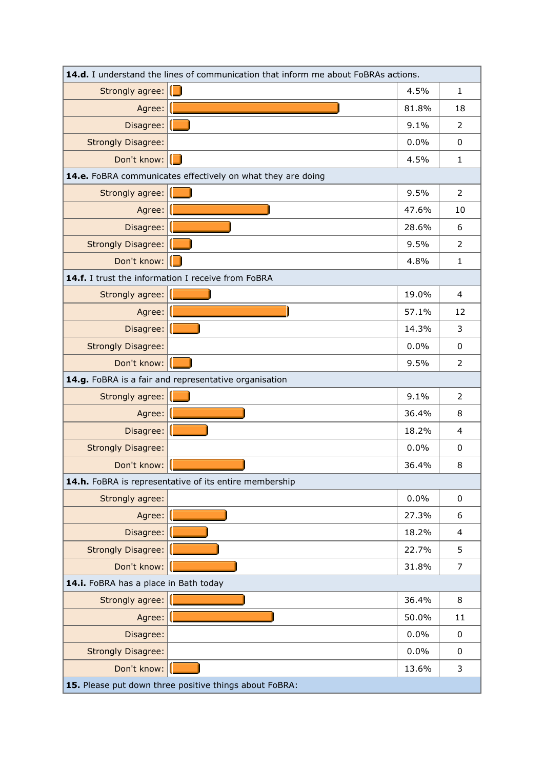| 14.d. I understand the lines of communication that inform me about FoBRAs actions. |                                                             |                |  |
|------------------------------------------------------------------------------------|-------------------------------------------------------------|----------------|--|
| Strongly agree:                                                                    | 4.5%<br>U                                                   | $\mathbf{1}$   |  |
| Agree:                                                                             | 81.8%                                                       | 18             |  |
| Disagree:                                                                          | 9.1%                                                        | $\overline{2}$ |  |
| <b>Strongly Disagree:</b>                                                          | 0.0%                                                        | $\Omega$       |  |
| Don't know:                                                                        | 4.5%<br>1 I                                                 | $\mathbf{1}$   |  |
|                                                                                    | 14.e. FoBRA communicates effectively on what they are doing |                |  |
| Strongly agree:                                                                    | 9.5%                                                        | $\overline{2}$ |  |
| Agree:                                                                             | 47.6%                                                       | 10             |  |
| Disagree:                                                                          | 28.6%                                                       | 6              |  |
| <b>Strongly Disagree:</b>                                                          | 9.5%                                                        | $\overline{2}$ |  |
| Don't know:                                                                        | 4.8%                                                        | $\mathbf{1}$   |  |
|                                                                                    | 14.f. I trust the information I receive from FoBRA          |                |  |
| Strongly agree:                                                                    | 19.0%                                                       | $\overline{4}$ |  |
| Agree:                                                                             | 57.1%                                                       | 12             |  |
| Disagree:                                                                          | 14.3%                                                       | 3              |  |
| <b>Strongly Disagree:</b>                                                          | 0.0%                                                        | $\mathbf 0$    |  |
| Don't know:                                                                        | 9.5%                                                        | $\overline{2}$ |  |
|                                                                                    | 14.g. FoBRA is a fair and representative organisation       |                |  |
| Strongly agree:                                                                    | 9.1%                                                        | $\overline{2}$ |  |
| Agree:                                                                             | 36.4%                                                       | 8              |  |
| Disagree:                                                                          | 18.2%                                                       | 4              |  |
| <b>Strongly Disagree:</b>                                                          | 0.0%                                                        | $\Omega$       |  |
| Don't know:                                                                        | 36.4%                                                       | 8              |  |
|                                                                                    | 14.h. FoBRA is representative of its entire membership      |                |  |
| Strongly agree:                                                                    | 0.0%                                                        | $\mathbf 0$    |  |
| Agree:                                                                             | 27.3%                                                       | 6              |  |
| Disagree:                                                                          | 18.2%                                                       | 4              |  |
| Strongly Disagree:                                                                 | 22.7%                                                       | 5              |  |
| Don't know:                                                                        | 31.8%                                                       | 7              |  |
| 14.i. FoBRA has a place in Bath today                                              |                                                             |                |  |
| Strongly agree:                                                                    | 36.4%                                                       | 8              |  |
| Agree:                                                                             | 50.0%                                                       | 11             |  |
| Disagree:                                                                          | 0.0%                                                        | 0              |  |
| <b>Strongly Disagree:</b>                                                          | 0.0%                                                        | 0              |  |
| Don't know:                                                                        | 13.6%                                                       | 3              |  |
| 15. Please put down three positive things about FoBRA:                             |                                                             |                |  |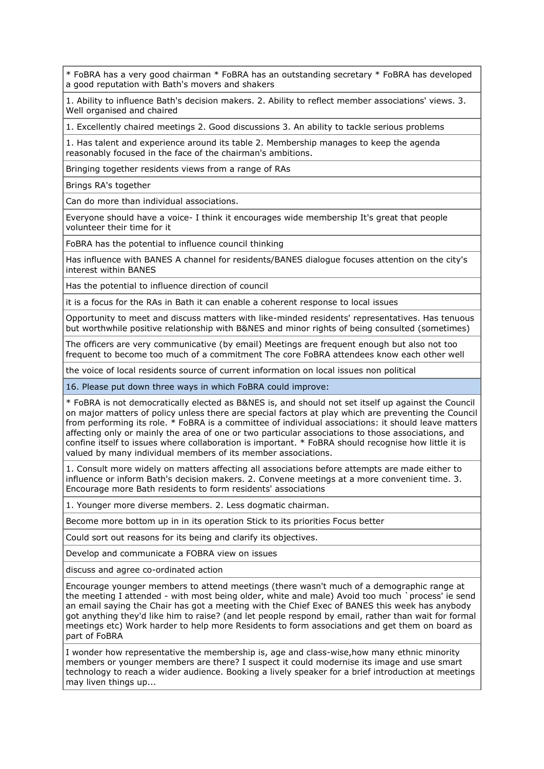\* FoBRA has a very good chairman \* FoBRA has an outstanding secretary \* FoBRA has developed a good reputation with Bath's movers and shakers

1. Ability to influence Bath's decision makers. 2. Ability to reflect member associations' views. 3. Well organised and chaired

1. Excellently chaired meetings 2. Good discussions 3. An ability to tackle serious problems

1. Has talent and experience around its table 2. Membership manages to keep the agenda reasonably focused in the face of the chairman's ambitions.

Bringing together residents views from a range of RAs

Brings RA's together

Can do more than individual associations.

Everyone should have a voice- I think it encourages wide membership It's great that people volunteer their time for it

FoBRA has the potential to influence council thinking

Has influence with BANES A channel for residents/BANES dialogue focuses attention on the city's interest within BANES

Has the potential to influence direction of council

it is a focus for the RAs in Bath it can enable a coherent response to local issues

Opportunity to meet and discuss matters with like-minded residents' representatives. Has tenuous but worthwhile positive relationship with B&NES and minor rights of being consulted (sometimes)

The officers are very communicative (by email) Meetings are frequent enough but also not too frequent to become too much of a commitment The core FoBRA attendees know each other well

the voice of local residents source of current information on local issues non political

16. Please put down three ways in which FoBRA could improve:

\* FoBRA is not democratically elected as B&NES is, and should not set itself up against the Council on major matters of policy unless there are special factors at play which are preventing the Council from performing its role. \* FoBRA is a committee of individual associations: it should leave matters affecting only or mainly the area of one or two particular associations to those associations, and confine itself to issues where collaboration is important. \* FoBRA should recognise how little it is valued by many individual members of its member associations.

1. Consult more widely on matters affecting all associations before attempts are made either to influence or inform Bath's decision makers. 2. Convene meetings at a more convenient time. 3. Encourage more Bath residents to form residents' associations

1. Younger more diverse members. 2. Less dogmatic chairman.

Become more bottom up in in its operation Stick to its priorities Focus better

Could sort out reasons for its being and clarify its objectives.

Develop and communicate a FOBRA view on issues

discuss and agree co-ordinated action

Encourage younger members to attend meetings (there wasn't much of a demographic range at the meeting I attended - with most being older, white and male) Avoid too much `process' ie send an email saying the Chair has got a meeting with the Chief Exec of BANES this week has anybody got anything they'd like him to raise? (and let people respond by email, rather than wait for formal meetings etc) Work harder to help more Residents to form associations and get them on board as part of FoBRA

I wonder how representative the membership is, age and class-wise,how many ethnic minority members or younger members are there? I suspect it could modernise its image and use smart technology to reach a wider audience. Booking a lively speaker for a brief introduction at meetings may liven things up...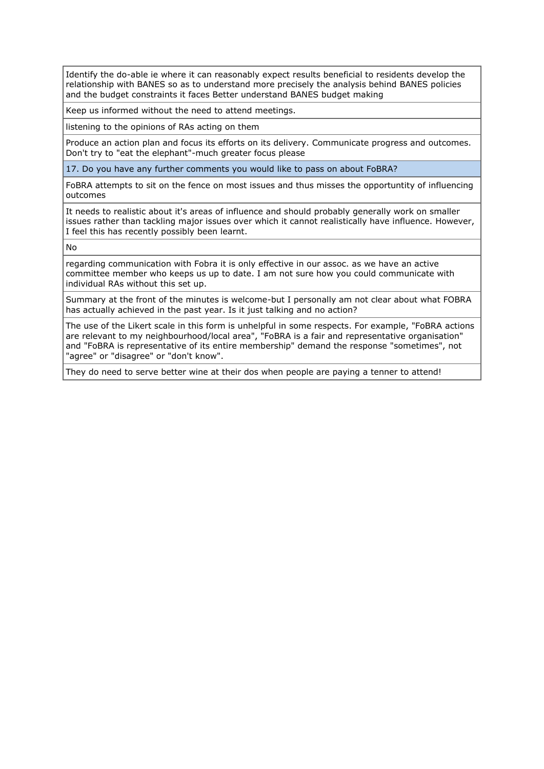Identify the do-able ie where it can reasonably expect results beneficial to residents develop the relationship with BANES so as to understand more precisely the analysis behind BANES policies and the budget constraints it faces Better understand BANES budget making

Keep us informed without the need to attend meetings.

listening to the opinions of RAs acting on them

Produce an action plan and focus its efforts on its delivery. Communicate progress and outcomes. Don't try to "eat the elephant"-much greater focus please

17. Do you have any further comments you would like to pass on about FoBRA?

FoBRA attempts to sit on the fence on most issues and thus misses the opportuntity of influencing outcomes

It needs to realistic about it's areas of influence and should probably generally work on smaller issues rather than tackling major issues over which it cannot realistically have influence. However, I feel this has recently possibly been learnt.

No

regarding communication with Fobra it is only effective in our assoc. as we have an active committee member who keeps us up to date. I am not sure how you could communicate with individual RAs without this set up.

Summary at the front of the minutes is welcome-but I personally am not clear about what FOBRA has actually achieved in the past year. Is it just talking and no action?

The use of the Likert scale in this form is unhelpful in some respects. For example, "FoBRA actions are relevant to my neighbourhood/local area", "FoBRA is a fair and representative organisation" and "FoBRA is representative of its entire membership" demand the response "sometimes", not "agree" or "disagree" or "don't know".

They do need to serve better wine at their dos when people are paying a tenner to attend!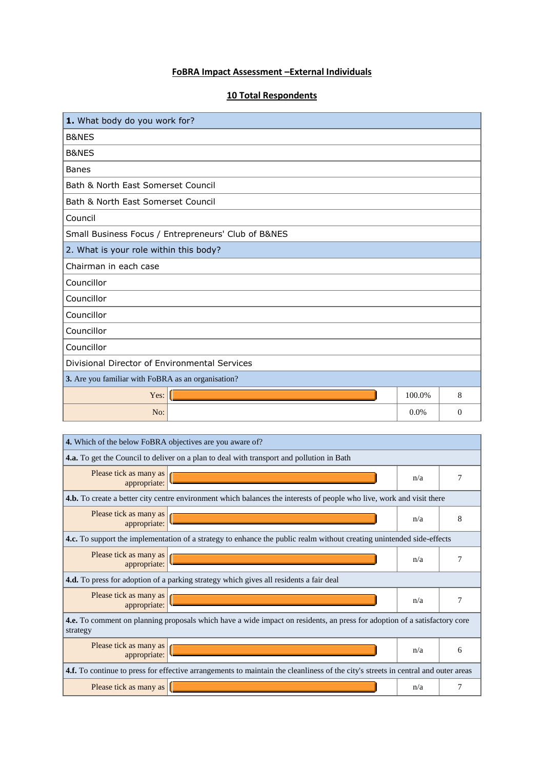# **FoBRA Impact Assessment –External Individuals**

# **10 Total Respondents**

| 1. What body do you work for?                       |         |          |  |
|-----------------------------------------------------|---------|----------|--|
| <b>B&amp;NES</b>                                    |         |          |  |
| B&NES                                               |         |          |  |
| <b>Banes</b>                                        |         |          |  |
| Bath & North East Somerset Council                  |         |          |  |
| Bath & North East Somerset Council                  |         |          |  |
| Council                                             |         |          |  |
| Small Business Focus / Entrepreneurs' Club of B&NES |         |          |  |
| 2. What is your role within this body?              |         |          |  |
| Chairman in each case                               |         |          |  |
| Councillor                                          |         |          |  |
| Councillor                                          |         |          |  |
| Councillor                                          |         |          |  |
| Councillor                                          |         |          |  |
| Councillor                                          |         |          |  |
| Divisional Director of Environmental Services       |         |          |  |
| 3. Are you familiar with FoBRA as an organisation?  |         |          |  |
| Yes:                                                | 100.0%  | 8        |  |
| No:                                                 | $0.0\%$ | $\Omega$ |  |

| 4. Which of the below FoBRA objectives are you aware of?                                                                              |                                                                                                                       |     |   |  |  |
|---------------------------------------------------------------------------------------------------------------------------------------|-----------------------------------------------------------------------------------------------------------------------|-----|---|--|--|
| <b>4.a.</b> To get the Council to deliver on a plan to deal with transport and pollution in Bath                                      |                                                                                                                       |     |   |  |  |
| Please tick as many as<br>appropriate:                                                                                                |                                                                                                                       | n/a |   |  |  |
|                                                                                                                                       | 4.b. To create a better city centre environment which balances the interests of people who live, work and visit there |     |   |  |  |
| Please tick as many as<br>appropriate:                                                                                                |                                                                                                                       | n/a | 8 |  |  |
|                                                                                                                                       | 4.c. To support the implementation of a strategy to enhance the public realm without creating unintended side-effects |     |   |  |  |
| Please tick as many as<br>appropriate:                                                                                                |                                                                                                                       | n/a |   |  |  |
| <b>4.d.</b> To press for adoption of a parking strategy which gives all residents a fair deal                                         |                                                                                                                       |     |   |  |  |
| Please tick as many as<br>appropriate:                                                                                                |                                                                                                                       | n/a |   |  |  |
| 4.e. To comment on planning proposals which have a wide impact on residents, an press for adoption of a satisfactory core<br>strategy |                                                                                                                       |     |   |  |  |
| Please tick as many as<br>appropriate:                                                                                                |                                                                                                                       | n/a | 6 |  |  |
| 4.f. To continue to press for effective arrangements to maintain the cleanliness of the city's streets in central and outer areas     |                                                                                                                       |     |   |  |  |
| Please tick as many as                                                                                                                |                                                                                                                       | n/a |   |  |  |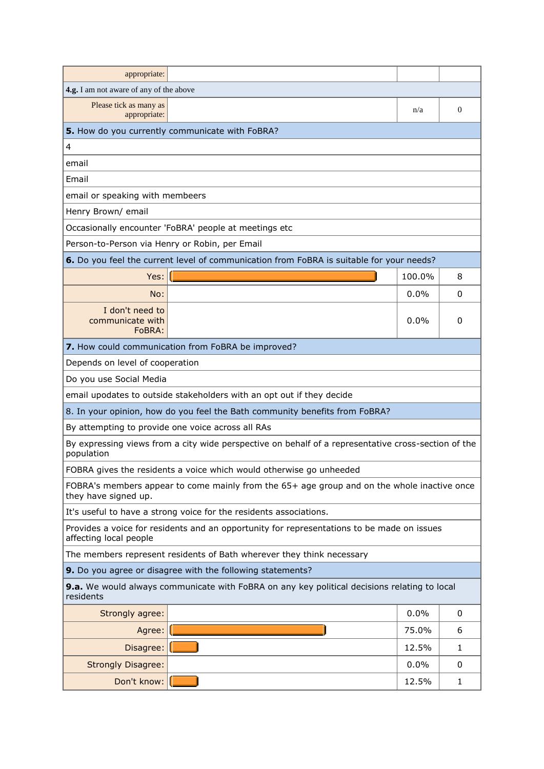| appropriate:                                                                                                         |                                                                                          |        |              |  |  |
|----------------------------------------------------------------------------------------------------------------------|------------------------------------------------------------------------------------------|--------|--------------|--|--|
| 4.g. I am not aware of any of the above                                                                              |                                                                                          |        |              |  |  |
| Please tick as many as<br>appropriate:                                                                               |                                                                                          | n/a    | $\mathbf{0}$ |  |  |
|                                                                                                                      | 5. How do you currently communicate with FoBRA?                                          |        |              |  |  |
| 4                                                                                                                    |                                                                                          |        |              |  |  |
| email                                                                                                                |                                                                                          |        |              |  |  |
| Email                                                                                                                |                                                                                          |        |              |  |  |
| email or speaking with membeers                                                                                      |                                                                                          |        |              |  |  |
| Henry Brown/ email                                                                                                   |                                                                                          |        |              |  |  |
|                                                                                                                      | Occasionally encounter 'FoBRA' people at meetings etc                                    |        |              |  |  |
| Person-to-Person via Henry or Robin, per Email                                                                       |                                                                                          |        |              |  |  |
|                                                                                                                      | 6. Do you feel the current level of communication from FoBRA is suitable for your needs? |        |              |  |  |
| Yes:                                                                                                                 |                                                                                          | 100.0% | 8            |  |  |
| No:                                                                                                                  |                                                                                          | 0.0%   | 0            |  |  |
| I don't need to<br>communicate with<br>FoBRA:                                                                        |                                                                                          | 0.0%   | 0            |  |  |
|                                                                                                                      | 7. How could communication from FoBRA be improved?                                       |        |              |  |  |
| Depends on level of cooperation                                                                                      |                                                                                          |        |              |  |  |
| Do you use Social Media                                                                                              |                                                                                          |        |              |  |  |
|                                                                                                                      | email upodates to outside stakeholders with an opt out if they decide                    |        |              |  |  |
|                                                                                                                      | 8. In your opinion, how do you feel the Bath community benefits from FoBRA?              |        |              |  |  |
|                                                                                                                      | By attempting to provide one voice across all RAs                                        |        |              |  |  |
| By expressing views from a city wide perspective on behalf of a representative cross-section of the<br>population    |                                                                                          |        |              |  |  |
|                                                                                                                      | FOBRA gives the residents a voice which would otherwise go unheeded                      |        |              |  |  |
| FOBRA's members appear to come mainly from the 65+ age group and on the whole inactive once<br>they have signed up.  |                                                                                          |        |              |  |  |
|                                                                                                                      | It's useful to have a strong voice for the residents associations.                       |        |              |  |  |
| Provides a voice for residents and an opportunity for representations to be made on issues<br>affecting local people |                                                                                          |        |              |  |  |
|                                                                                                                      | The members represent residents of Bath wherever they think necessary                    |        |              |  |  |
|                                                                                                                      | 9. Do you agree or disagree with the following statements?                               |        |              |  |  |
| 9.a. We would always communicate with FoBRA on any key political decisions relating to local<br>residents            |                                                                                          |        |              |  |  |
| Strongly agree:                                                                                                      |                                                                                          | 0.0%   | 0            |  |  |
| Agree:                                                                                                               |                                                                                          | 75.0%  | 6            |  |  |
| Disagree:                                                                                                            |                                                                                          | 12.5%  | 1            |  |  |
| <b>Strongly Disagree:</b>                                                                                            |                                                                                          | 0.0%   | 0            |  |  |
| Don't know:                                                                                                          |                                                                                          | 12.5%  | 1            |  |  |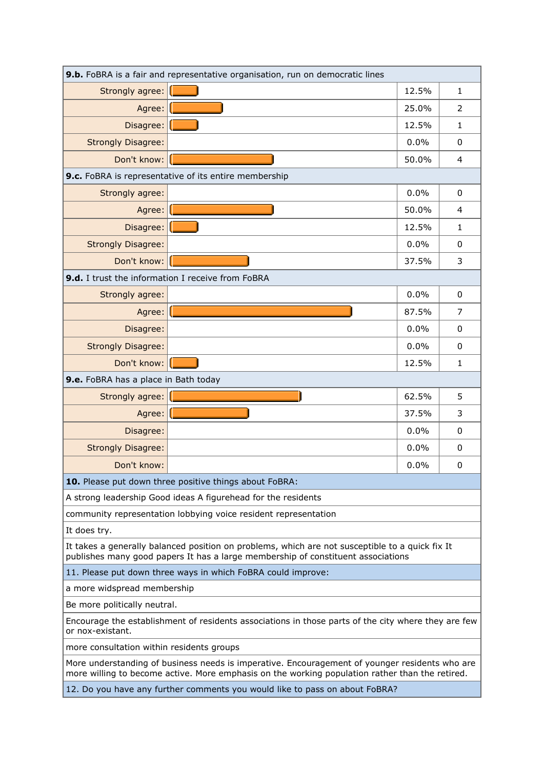| 9.b. FoBRA is a fair and representative organisation, run on democratic lines                                                                                                                     |                                                                 |       |                |  |
|---------------------------------------------------------------------------------------------------------------------------------------------------------------------------------------------------|-----------------------------------------------------------------|-------|----------------|--|
| Strongly agree:                                                                                                                                                                                   |                                                                 | 12.5% | $\mathbf{1}$   |  |
| Agree:                                                                                                                                                                                            |                                                                 | 25.0% | 2              |  |
| Disagree:                                                                                                                                                                                         |                                                                 | 12.5% | $\mathbf{1}$   |  |
| <b>Strongly Disagree:</b>                                                                                                                                                                         |                                                                 | 0.0%  | 0              |  |
| Don't know:                                                                                                                                                                                       |                                                                 | 50.0% | $\overline{4}$ |  |
|                                                                                                                                                                                                   | 9.c. FoBRA is representative of its entire membership           |       |                |  |
| Strongly agree:                                                                                                                                                                                   |                                                                 | 0.0%  | 0              |  |
| Agree:                                                                                                                                                                                            |                                                                 | 50.0% | 4              |  |
| Disagree:                                                                                                                                                                                         |                                                                 | 12.5% | $\mathbf{1}$   |  |
| <b>Strongly Disagree:</b>                                                                                                                                                                         |                                                                 | 0.0%  | 0              |  |
| Don't know:                                                                                                                                                                                       |                                                                 | 37.5% | 3              |  |
| 9.d. I trust the information I receive from FoBRA                                                                                                                                                 |                                                                 |       |                |  |
| Strongly agree:                                                                                                                                                                                   |                                                                 | 0.0%  | 0              |  |
| Agree:                                                                                                                                                                                            |                                                                 | 87.5% | 7              |  |
| Disagree:                                                                                                                                                                                         |                                                                 | 0.0%  | $\mathbf{0}$   |  |
| <b>Strongly Disagree:</b>                                                                                                                                                                         |                                                                 | 0.0%  | 0              |  |
| Don't know:                                                                                                                                                                                       |                                                                 | 12.5% | $\mathbf{1}$   |  |
| 9.e. FoBRA has a place in Bath today                                                                                                                                                              |                                                                 |       |                |  |
| Strongly agree:                                                                                                                                                                                   |                                                                 | 62.5% | 5              |  |
| Agree:                                                                                                                                                                                            |                                                                 | 37.5% | 3              |  |
| Disagree:                                                                                                                                                                                         |                                                                 | 0.0%  | 0              |  |
| <b>Strongly Disagree:</b>                                                                                                                                                                         |                                                                 | 0.0%  | 0              |  |
| Don't know:                                                                                                                                                                                       |                                                                 | 0.0%  | 0              |  |
|                                                                                                                                                                                                   | 10. Please put down three positive things about FoBRA:          |       |                |  |
|                                                                                                                                                                                                   | A strong leadership Good ideas A figurehead for the residents   |       |                |  |
|                                                                                                                                                                                                   | community representation lobbying voice resident representation |       |                |  |
| It does try.                                                                                                                                                                                      |                                                                 |       |                |  |
| It takes a generally balanced position on problems, which are not susceptible to a quick fix It<br>publishes many good papers It has a large membership of constituent associations               |                                                                 |       |                |  |
| 11. Please put down three ways in which FoBRA could improve:                                                                                                                                      |                                                                 |       |                |  |
| a more widspread membership                                                                                                                                                                       |                                                                 |       |                |  |
| Be more politically neutral.                                                                                                                                                                      |                                                                 |       |                |  |
| Encourage the establishment of residents associations in those parts of the city where they are few<br>or nox-existant.                                                                           |                                                                 |       |                |  |
| more consultation within residents groups                                                                                                                                                         |                                                                 |       |                |  |
| More understanding of business needs is imperative. Encouragement of younger residents who are<br>more willing to become active. More emphasis on the working population rather than the retired. |                                                                 |       |                |  |
| 12. Do you have any further comments you would like to pass on about FoBRA?                                                                                                                       |                                                                 |       |                |  |